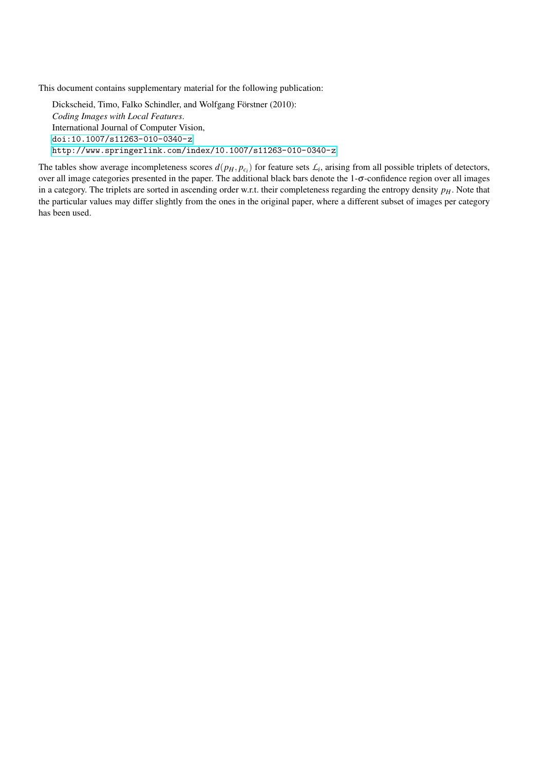This document contains supplementary material for the following publication:

Dickscheid, Timo, Falko Schindler, and Wolfgang Förstner (2010): *Coding Images with Local Features*. International Journal of Computer Vision, <doi:10.1007/s11263-010-0340-z> <http://www.springerlink.com/index/10.1007/s11263-010-0340-z>

The tables show average incompleteness scores  $d(p_H, p_{c_i})$  for feature sets  $\mathcal{L}_i$ , arising from all possible triplets of detectors, over all image categories presented in the paper. The additional black bars denote the 1-σ-confidence region over all images in a category. The triplets are sorted in ascending order w.r.t. their completeness regarding the entropy density *pH*. Note that the particular values may differ slightly from the ones in the original paper, where a different subset of images per category has been used.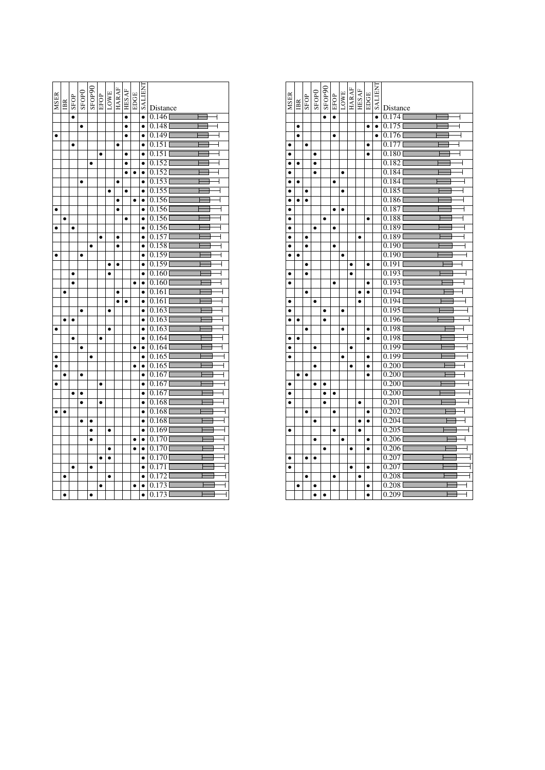| <b>MSER</b> | $_{\rm IB}$ | SFOP      | SFOP <sub>0</sub> | $\frac{\text{SPOP90}}{\text{EFOP}}_{\text{HARAF}}$ |           |           |           | <b>HESAF</b> | EDGE      | <b>TNHITKS</b> | Distance                         |
|-------------|-------------|-----------|-------------------|----------------------------------------------------|-----------|-----------|-----------|--------------|-----------|----------------|----------------------------------|
|             |             | $\bullet$ |                   |                                                    |           |           |           | $\bullet$    |           | $\bullet$      | 0.146                            |
|             |             |           | $\bullet$         |                                                    |           |           |           | $\bullet$    |           | $\bullet$      | 0.148<br>┫                       |
|             |             |           |                   |                                                    |           |           |           | ۰            |           | $\bullet$      | 0.1491                           |
|             |             | $\bullet$ |                   |                                                    |           |           | $\bullet$ |              |           | $\bullet$      | 0.151                            |
|             |             |           |                   |                                                    | $\bullet$ |           |           | ٠            |           | $\bullet$      | 0.151                            |
|             |             |           |                   | $\bullet$                                          |           |           |           |              |           | $\bullet$      | 0.152                            |
|             |             |           |                   |                                                    |           |           |           | $\bullet$    | $\bullet$ | $\bullet$      | 0.152                            |
|             |             |           | $\bullet$         |                                                    |           |           |           |              |           | $\bullet$      | 0.153                            |
|             |             |           |                   |                                                    |           | $\bullet$ |           | $\bullet$    |           | $\bullet$      | 0.155                            |
|             |             |           |                   |                                                    |           |           | $\bullet$ |              | $\bullet$ | $\bullet$      | 0.156                            |
| $\bullet$   |             |           |                   |                                                    |           |           |           |              |           | $\bullet$      | 0.156                            |
|             | $\bullet$   |           |                   |                                                    |           |           |           | $\bullet$    |           | $\bullet$      | 0.156                            |
| $\bullet$   |             | $\bullet$ |                   |                                                    |           |           |           |              |           | $\bullet$      | 0.156<br>┫                       |
|             |             |           |                   |                                                    |           |           |           |              |           | $\bullet$      | 0.157<br>$\overline{1}$          |
|             |             |           |                   | $\bullet$                                          |           |           | $\bullet$ |              |           | $\bullet$      | 0.158                            |
| $\bullet$   |             |           | $\bullet$         |                                                    |           |           |           |              |           | $\bullet$      | 0.159                            |
|             |             |           |                   |                                                    |           | $\bullet$ | $\bullet$ |              |           | $\bullet$      | 0.159                            |
|             |             | $\bullet$ |                   |                                                    |           | $\bullet$ |           |              |           | $\bullet$      | 0.160                            |
|             |             | $\bullet$ |                   |                                                    |           |           |           |              | ٠         | $\bullet$      | 0.160                            |
|             | $\bullet$   |           |                   |                                                    |           |           |           |              |           | $\bullet$      | 0.161<br>┫                       |
|             |             |           |                   |                                                    |           |           | $\bullet$ | $\bullet$    |           | $\bullet$      | 0.161                            |
|             |             |           | $\bullet$         |                                                    |           | $\bullet$ |           |              |           | $\bullet$      | 0.163                            |
|             | $\bullet$   | $\bullet$ |                   |                                                    |           |           |           |              |           | $\bullet$      | 0.163                            |
| $\bullet$   |             |           |                   |                                                    |           | $\bullet$ |           |              |           | $\bullet$      | 0.163                            |
|             |             | $\bullet$ |                   |                                                    |           |           |           |              |           | $\bullet$      | 0.164<br>4                       |
|             |             |           | $\bullet$         |                                                    |           |           |           |              | $\bullet$ | $\bullet$      | 0.164<br>$\overline{1}$          |
|             |             |           |                   | $\bullet$                                          |           |           |           |              |           | $\bullet$      | 0.165<br>ł                       |
|             |             |           |                   |                                                    |           |           |           |              |           | $\bullet$      | 0.165<br>ł                       |
|             | $\bullet$   |           | $\bullet$         |                                                    |           |           |           |              |           | $\bullet$      | 0.167<br>$\overline{1}$          |
| $\bullet$   |             |           |                   |                                                    | $\bullet$ |           |           |              |           | $\bullet$      | 0.167                            |
|             |             |           | $\bullet$         |                                                    |           |           |           |              |           | $\bullet$      | 0.167                            |
|             |             |           | $\bullet$         |                                                    | $\bullet$ |           |           |              |           | $\bullet$      | 0.168<br>$\overline{\mathsf{I}}$ |
|             | $\bullet$   |           |                   |                                                    |           |           |           |              |           | $\bullet$      | 0.168<br>┫                       |
|             |             |           | $\bullet$         | $\bullet$                                          |           |           |           |              |           | $\bullet$      | 0.168<br>ł                       |
|             |             |           |                   | $\bullet$                                          |           | $\bullet$ |           |              |           | $\bullet$      | 0.169<br>$\overline{\mathsf{I}}$ |
|             |             |           |                   | $\bullet$                                          |           |           |           |              | ٠         | $\bullet$      | 0.1701<br>Ī                      |
|             |             |           |                   |                                                    |           | $\bullet$ |           |              | $\bullet$ | $\bullet$      | 0.1701                           |
|             |             |           |                   |                                                    | $\bullet$ |           |           |              |           | $\bullet$      | 0.170<br>┫                       |
|             |             |           |                   | ٠                                                  |           |           |           |              |           | $\bullet$      | 0.1711                           |
|             | $\bullet$   |           |                   |                                                    |           | $\bullet$ |           |              |           | $\bullet$      | $0.172$ <sup>[</sup>             |
|             |             |           |                   |                                                    | $\bullet$ |           |           |              | ٠         | $\bullet$      | 0.173                            |
|             |             |           |                   |                                                    |           |           |           |              |           | $\bullet$      | 0.173                            |

| <b>MSER</b> |           | SFOP      | SFOPO     | SFOP90    | EFOP      | LOWE      | <b>HARAF</b> | <b>HESAF</b> | EDGE      | <b>LIENT</b> |                                    |
|-------------|-----------|-----------|-----------|-----------|-----------|-----------|--------------|--------------|-----------|--------------|------------------------------------|
|             | BB        |           |           |           |           |           |              |              |           |              | Distance                           |
|             |           |           |           | $\bullet$ | $\bullet$ |           |              |              |           | $\bullet$    | 0.174<br>┫                         |
|             | $\bullet$ |           |           |           |           |           |              |              | $\bullet$ | $\bullet$    | $0.175$ <sup>[]</sup>              |
|             | $\bullet$ |           |           |           | $\bullet$ |           |              |              |           | $\bullet$    | 0.1761<br>$\overline{\mathcal{L}}$ |
| $\bullet$   |           | ٠         |           |           |           |           |              |              | $\bullet$ |              | 0.177                              |
| $\bullet$   |           |           | $\bullet$ |           |           |           |              |              | $\bullet$ |              | 0.1801                             |
|             | $\bullet$ |           |           |           |           |           |              |              |           |              | 0.182                              |
|             |           |           | $\bullet$ |           |           | $\bullet$ |              |              |           |              | 0.184                              |
| $\bullet$   | $\bullet$ |           |           |           | $\bullet$ |           |              |              |           |              | 0.184                              |
| Ō           |           | ٠         |           |           |           |           |              |              |           |              | 0.185                              |
| $\bullet$   | $\bullet$ | $\bullet$ |           |           |           |           |              |              |           |              | 0.186                              |
| $\bullet$   |           |           |           |           | $\bullet$ | Ō         |              |              |           |              | 0.187                              |
| ė           |           |           |           | $\bullet$ |           |           |              |              | $\bullet$ |              | 0.188                              |
| $\bullet$   |           |           | $\bullet$ |           | $\bullet$ |           |              |              |           |              | 0.189                              |
|             |           | $\bullet$ |           |           |           |           |              | $\bullet$    |           |              | 0.189                              |
| ٠           |           | $\bullet$ |           |           |           |           |              |              |           |              | 0.190                              |
| $\bullet$   | $\bullet$ |           |           |           |           | $\bullet$ |              |              |           |              | 0.1901                             |
|             |           | $\bullet$ |           |           |           |           | $\bullet$    |              | $\bullet$ |              | 0.191                              |
| $\bullet$   |           | $\bullet$ |           |           |           |           | $\bullet$    |              |           |              | 0.193                              |
| $\bullet$   |           |           |           |           | $\bullet$ |           |              |              | $\bullet$ |              | 0.193                              |
|             |           | ٠         |           |           |           |           |              |              |           |              | 0.194                              |
| $\bullet$   |           |           | $\bullet$ |           |           |           |              | $\bullet$    |           |              | 0.1941                             |
| $\bullet$   |           |           |           | ٠         |           | ٠         |              |              |           |              | 0.195                              |
|             | $\bullet$ |           |           |           |           |           |              |              |           |              | 0.196                              |
|             |           | $\bullet$ |           |           |           | $\bullet$ |              |              | $\bullet$ |              | 0.198                              |
| $\bullet$   | $\bullet$ |           |           |           |           |           |              |              | $\bullet$ |              | 0.198                              |
| ė           |           |           |           |           |           |           | $\bullet$    |              |           |              | 0.199                              |
| $\bullet$   |           |           |           |           |           | ٠         |              |              | $\bullet$ |              | 0.199                              |
|             |           |           | $\bullet$ |           |           |           | $\bullet$    |              | $\bullet$ |              | 0.200                              |
|             | $\bullet$ | $\bullet$ |           |           |           |           |              |              | $\bullet$ |              | 0.200                              |
| $\bullet$   |           |           | $\bullet$ | ٠         |           |           |              |              |           |              | 0.200                              |
|             |           |           |           | $\bullet$ |           |           |              |              |           |              | 0.2001                             |
| $\bullet$   |           |           |           | $\bullet$ |           |           |              | $\bullet$    |           |              | 0.201                              |
|             |           | $\bullet$ |           |           | $\bullet$ |           |              |              | $\bullet$ |              | 0.202                              |
|             |           |           |           |           |           |           |              | Ō            |           |              | 0.204                              |
| $\bullet$   |           |           |           |           | $\bullet$ |           |              | $\bullet$    |           |              | 0.205                              |
|             |           |           | $\bullet$ |           |           | $\bullet$ |              |              | $\bullet$ |              | 0.206                              |
|             |           |           |           | $\bullet$ |           |           | $\bullet$    |              | $\bullet$ |              | 0.206                              |
| $\bullet$   |           | $\bullet$ | $\bullet$ |           |           |           |              |              |           |              | 0.207                              |
|             |           |           |           |           |           |           | $\bullet$    |              | $\bullet$ |              | 0.207                              |
|             |           |           |           |           | $\bullet$ |           |              | ė            |           |              | 0.208                              |
|             | $\bullet$ |           | ٠         |           |           |           |              |              | $\bullet$ |              | 0.208                              |
|             |           |           |           |           |           |           |              |              |           |              | 0.209                              |